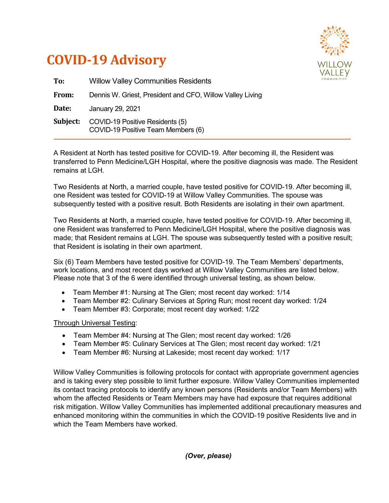



| To:      | <b>Willow Valley Communities Residents</b>                            |
|----------|-----------------------------------------------------------------------|
| From:    | Dennis W. Griest, President and CFO, Willow Valley Living             |
| Date:    | January 29, 2021                                                      |
| Subject: | COVID-19 Positive Residents (5)<br>COVID-19 Positive Team Members (6) |

A Resident at North has tested positive for COVID-19. After becoming ill, the Resident was transferred to Penn Medicine/LGH Hospital, where the positive diagnosis was made. The Resident remains at LGH.

Two Residents at North, a married couple, have tested positive for COVID-19. After becoming ill, one Resident was tested for COVID-19 at Willow Valley Communities. The spouse was subsequently tested with a positive result. Both Residents are isolating in their own apartment.

Two Residents at North, a married couple, have tested positive for COVID-19. After becoming ill, one Resident was transferred to Penn Medicine/LGH Hospital, where the positive diagnosis was made; that Resident remains at LGH. The spouse was subsequently tested with a positive result; that Resident is isolating in their own apartment.

Six (6) Team Members have tested positive for COVID-19. The Team Members' departments, work locations, and most recent days worked at Willow Valley Communities are listed below. Please note that 3 of the 6 were identified through universal testing, as shown below.

- Team Member #1: Nursing at The Glen; most recent day worked: 1/14
- Team Member #2: Culinary Services at Spring Run; most recent day worked: 1/24
- Team Member #3: Corporate; most recent day worked: 1/22

## Through Universal Testing:

- Team Member #4: Nursing at The Glen; most recent day worked: 1/26
- Team Member #5: Culinary Services at The Glen; most recent day worked: 1/21
- Team Member #6: Nursing at Lakeside; most recent day worked: 1/17

Willow Valley Communities is following protocols for contact with appropriate government agencies and is taking every step possible to limit further exposure. Willow Valley Communities implemented its contact tracing protocols to identify any known persons (Residents and/or Team Members) with whom the affected Residents or Team Members may have had exposure that requires additional risk mitigation. Willow Valley Communities has implemented additional precautionary measures and enhanced monitoring within the communities in which the COVID-19 positive Residents live and in which the Team Members have worked.

*(Over, please)*